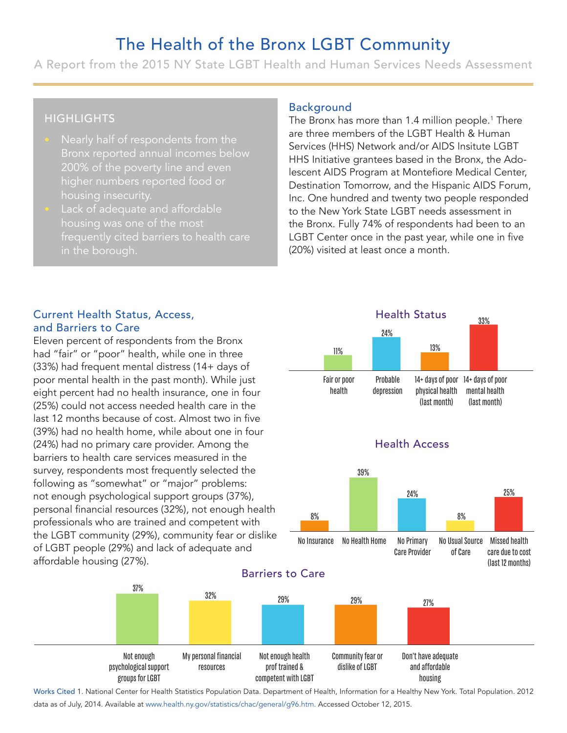# The Health of the Bronx LGBT Community

A Report from the 2015 NY State LGBT Health and Human Services Needs Assessment

# **HIGHLIGHTS**

- Nearly half of respondents from the Bronx reported annual incomes below 200% of the poverty line and even higher numbers reported food or
- Lack of adequate and affordable in the borough.

#### Background

The Bronx has more than 1.4 million people.<sup>1</sup> There are three members of the LGBT Health & Human Services (HHS) Network and/or AIDS Insitute LGBT HHS Initiative grantees based in the Bronx, the Adolescent AIDS Program at Montefiore Medical Center, Destination Tomorrow, and the Hispanic AIDS Forum, Inc. One hundred and twenty two people responded to the New York State LGBT needs assessment in the Bronx. Fully 74% of respondents had been to an LGBT Center once in the past year, while one in five (20%) visited at least once a month. 11 and the same of the LGBT Health & Human<br>
HHS) Network and/or AIDS Insitute LGBT<br>
tive grantees based in the Bronx, the Ad<br>
DS Program at Montefiore Medical Cent<br>
and Tomorrow, and the Hispanic AIDS Foru<br>
and the Hispanic A

#### Current Health Status, Access, and Barriers to Care

Eleven percent of respondents from the Bronx had "fair" or "poor" health, while one in three (33%) had frequent mental distress (14+ days of poor mental health in the past month). While just eight percent had no health insurance, one in four (25%) could not access needed health care in the last 12 months because of cost. Almost two in five (39%) had no health home, while about one in four (24%) had no primary care provider. Among the barriers to health care services measured in the survey, respondents most frequently selected the following as "somewhat" or "major" problems: not enough psychological support groups (37%), personal financial resources (32%), not enough health professionals who are trained and competent with the LGBT community (29%), community fear or dislike of LGBT people (29%) and lack of adequate and affordable housing (27%).

37%



Not enough psychological support groups for LGBT My personal financial resources Not enough health prof trained & competent with LGBT Community fear or dislike of LGBT Don't have adequate and affordable housing

Works Cited 1. National Center for Health Statistics Population Data. Department of Health, Information for a Healthy New York. Total Population. 2012 data as of July, 2014. Available at www.health.ny.gov/statistics/chac/general/g96.htm. Accessed October 12, 2015.